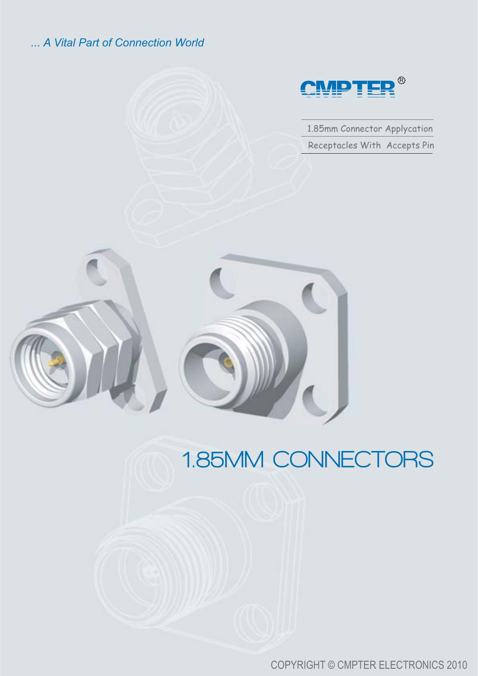#### *... A Vital Part of Connection World*



1.85mm Connector Applycation Receptacles With Accepts Pin



# **1.85MM CONNECTORS**

COPYRIGHT © CMPTER ELECTRONICS 2010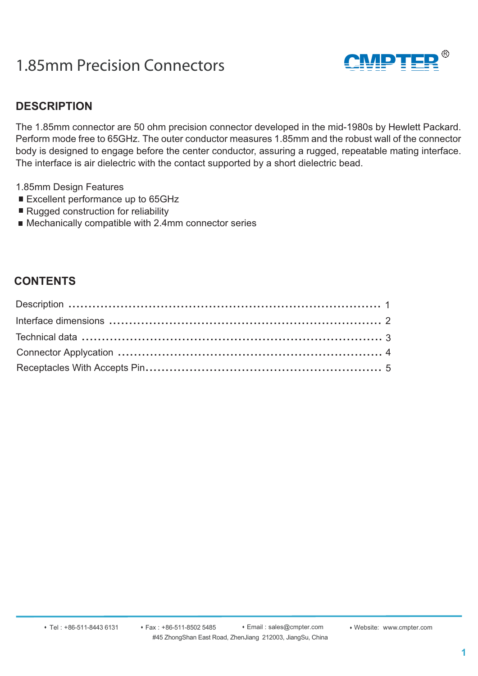### 1.85mm Precision Connectors



#### **DESCRIPTION**

The 1.85mm connector are 50 ohm precision connector developed in the mid-1980s by Hewlett Packard. Perform mode free to 65GHz. The outer conductor measures 1.85mm and the robust wall of the connector body is designed to engage before the center conductor, assuring a rugged, repeatable mating interface. The interface is air dielectric with the contact supported by a short dielectric bead.

- 1.85mm Design Features
- Excellent performance up to 65GHz
- Rugged construction for reliability
- Mechanically compatible with 2.4mm connector series

#### **CONTENTS**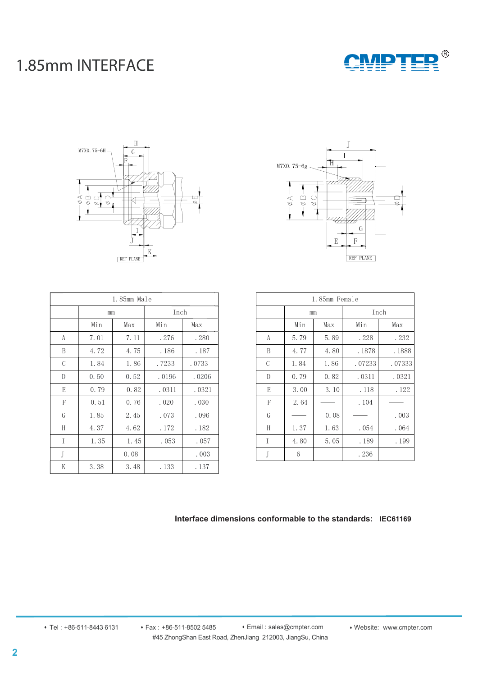### 1.85mm INTERFACE







| 1.85mm Male |      |      |       |       |
|-------------|------|------|-------|-------|
|             | mm   |      | Inch  |       |
|             | Min  | Max  | Min   | Max   |
| A           | 7.01 | 7.11 | . 276 | . 280 |
| B           | 4.72 | 4.75 | .186  | .187  |
| C           | 1.84 | 1.86 | .7233 | .0733 |
| D           | 0.50 | 0.52 | .0196 | .0206 |
| E           | 0.79 | 0.82 | .0311 | .0321 |
| F           | 0.51 | 0.76 | .020  | .030  |
| G           | 1.85 | 2.45 | .073  | .096  |
| H           | 4.37 | 4.62 | . 172 | . 182 |
| T           | 1.35 | 1.45 | .053  | .057  |
| J           |      | 0.08 |       | .003  |
| K           | 3.38 | 3.48 | . 133 | . 137 |

| 1.85mm Female |      |      |        |        |
|---------------|------|------|--------|--------|
|               | mm   |      | Inch   |        |
|               | Min  | Max  | Min    | Max    |
| A             | 5.79 | 5.89 | . 228  | . 232  |
| B             | 4.77 | 4.80 | .1878  | .1888  |
| C             | 1.84 | 1.86 | .07233 | .07333 |
| D             | 0.79 | 0.82 | .0311  | .0321  |
| E             | 3.00 | 3.10 | . 118  | . 122  |
| F             | 2.64 |      | . 104  |        |
| G             |      | 0.08 |        | .003   |
| H             | 1.37 | 1.63 | .054   | .064   |
| T             | 4.80 | 5.05 | .189   | . 199  |
| J             | 6    |      | . 236  |        |

#### **Interface dimensions conformable to the standards: IEC61169**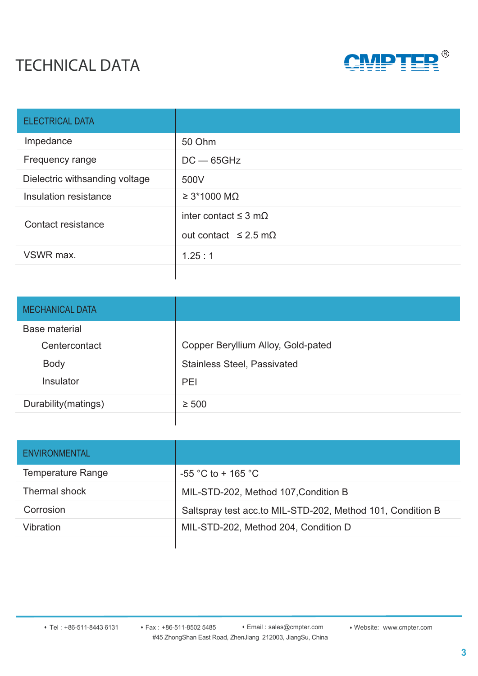## TECHNICAL DATA



| <b>ELECTRICAL DATA</b>         |                                   |
|--------------------------------|-----------------------------------|
| Impedance                      | 50 Ohm                            |
| Frequency range                | $DC - 65GHz$                      |
| Dielectric withsanding voltage | 500V                              |
| Insulation resistance          | $\geq$ 3*1000 MQ                  |
| Contact resistance             | inter contact $\leq$ 3 m $\Omega$ |
|                                | out contact $\leq$ 2.5 m $\Omega$ |
| VSWR max.                      | 1.25:1                            |
|                                |                                   |

| <b>MECHANICAL DATA</b> |                                    |
|------------------------|------------------------------------|
| <b>Base material</b>   |                                    |
| Centercontact          | Copper Beryllium Alloy, Gold-pated |
| <b>Body</b>            | <b>Stainless Steel, Passivated</b> |
| Insulator              | PEI                                |
| Durability (matings)   | $\geq 500$                         |
|                        |                                    |

| <b>ENVIRONMENTAL</b>     |                                                            |
|--------------------------|------------------------------------------------------------|
| <b>Temperature Range</b> | $-55$ °C to + 165 °C                                       |
| Thermal shock            | MIL-STD-202, Method 107, Condition B                       |
| Corrosion                | Saltspray test acc.to MIL-STD-202, Method 101, Condition B |
| Vibration                | MIL-STD-202, Method 204, Condition D                       |
|                          |                                                            |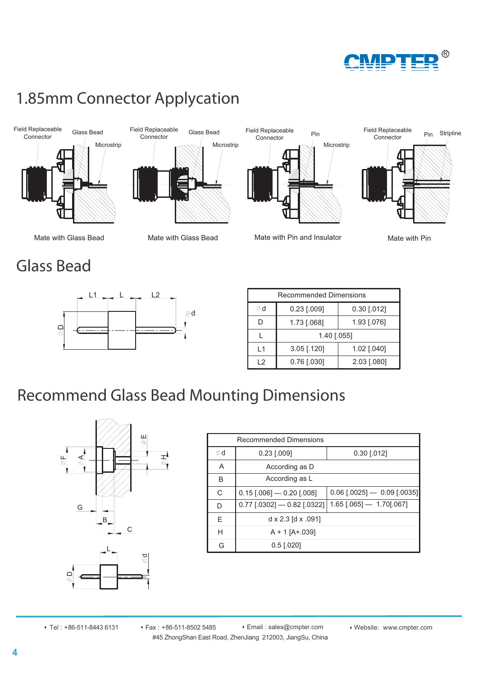

## 1.85mm Connector Applycation





Microstrip

id Repiaceable<br>Connector Pin

Field Replaceable



### Mate with Glass Bead Mate with Glass Bead Mate with Pin and Insulator Mate with Pin

Glass Bead



| <b>Recommended Dimensions</b> |               |               |  |
|-------------------------------|---------------|---------------|--|
| ød                            | $0.23$ [.009] | $0.30$ [.012] |  |
| D                             | 1.73 [.068]   | 1.93 [.076]   |  |
|                               | 1.40 [.055]   |               |  |
| $\overline{1}$ 1              | $3.05$ [.120] | 1.02 [.040]   |  |
| 12                            | $0.76$ [.030] | 2.03 [.080]   |  |

## Recommend Glass Bead Mounting Dimensions



| <b>Recommended Dimensions</b> |                                   |                                 |  |  |
|-------------------------------|-----------------------------------|---------------------------------|--|--|
| Ød                            | $0.23$ [.009]<br>$0.30$ [.012]    |                                 |  |  |
| A                             | According as D                    |                                 |  |  |
| B                             | According as L                    |                                 |  |  |
| C                             | $0.15$ [.006] $-$ 0.20 [.008]     | $0.06$ [.0025] $- 0.09$ [.0035] |  |  |
| D                             | $0.77$ [.0302] $-$ 0.82 [.0322]   | $1.65$ [.065] $- 1.70$ [.067]   |  |  |
| Е                             | $d \times 2.3$ [d $\times .091$ ] |                                 |  |  |
| н                             | $A + 1$ [A+.039]                  |                                 |  |  |
| G                             | $0.5$ [.020]                      |                                 |  |  |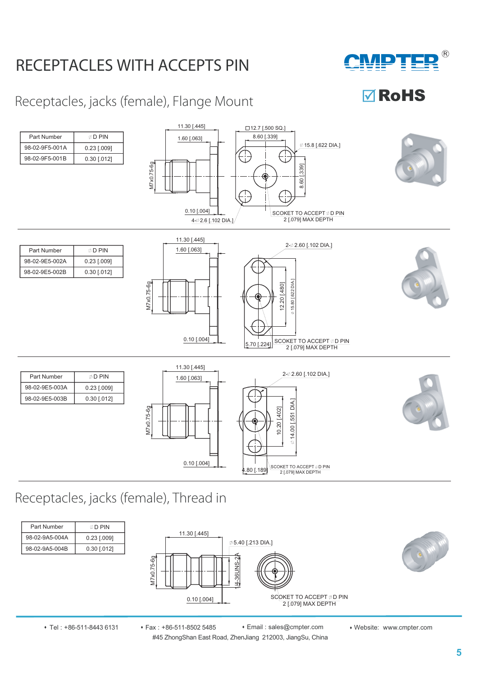## RECEPTACLES WITH ACCEPTS PIN



**<b>⊽**RoHS

### Receptacles, jacks (female), Flange Mount



### Receptacles, jacks (female), Thread in



#45 ZhongShan East Road, ZhenJiang 212003, JiangSu, China • Tel : +86-511-8443 6131 • Fax : +86-511-8502 5485 • Email : sales@cmpter.com • Website: www.cmpter.com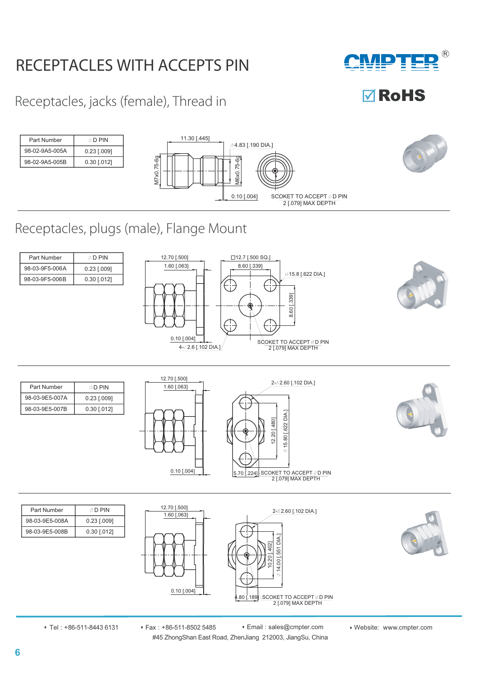## RECEPTACLES WITH ACCEPTS PIN

**CMPTER**  $(R)$ 

**MRoHS** 

Receptacles, jacks (female), Thread in



### Receptacles, plugs (male), Flange Mount

| Part Number    | ⊚ D PIN       |
|----------------|---------------|
| 98-03-9F5-006A | $0.23$ [.009] |
| 98-03-9F5-006B | $0.30$ [.012] |





| Part Number    | © D PIN       |
|----------------|---------------|
| 98-03-9E5-007A | $0.23$ [.009] |
| 98-03-9E5-007B | $0.30$ [.012] |





| Part Number    | ⊘ D PIN       |
|----------------|---------------|
| 98-03-9E5-008A | 0.23 [.009]   |
| 98-03-9E5-008B | $0.30$ [.012] |





#45 ZhongShan East Road, ZhenJiang 212003, JiangSu, China • Tel : +86-511-8443 6131 • Fax : +86-511-8502 5485 • Email : sales@cmpter.com • Website: www.cmpter.com

**6**